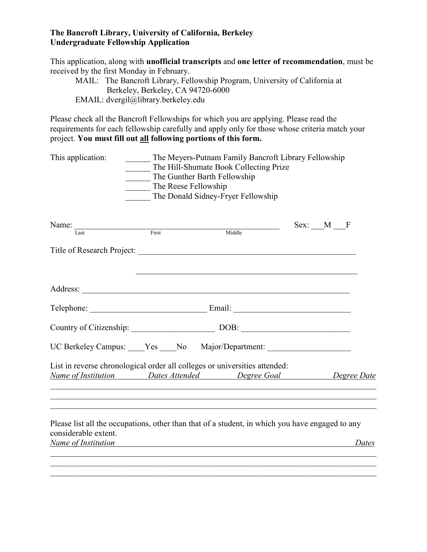## **The Bancroft Library, University of California, Berkeley Undergraduate Fellowship Application**

This application, along with **unofficial transcripts** and **one letter of recommendation**, must be received by the first Monday in February.

MAIL: The Bancroft Library, Fellowship Program, University of California at Berkeley, Berkeley, CA 94720-6000 EMAIL: dvergil@library.berkeley.edu

Please check all the Bancroft Fellowships for which you are applying. Please read the requirements for each fellowship carefully and apply only for those whose criteria match your project. **You must fill out all following portions of this form.**

| This application:                           | The Reese Fellowship | The Meyers-Putnam Family Bancroft Library Fellowship<br>The Hill-Shumate Book Collecting Prize<br>The Gunther Barth Fellowship<br>The Donald Sidney-Fryer Fellowship                 |          |       |
|---------------------------------------------|----------------------|--------------------------------------------------------------------------------------------------------------------------------------------------------------------------------------|----------|-------|
| Name: $\qquad \qquad$<br>Last               | First                | Middle                                                                                                                                                                               | Sex: M F |       |
|                                             |                      |                                                                                                                                                                                      |          |       |
|                                             |                      | Address:                                                                                                                                                                             |          |       |
|                                             |                      |                                                                                                                                                                                      |          |       |
|                                             |                      | Country of Citizenship: DOB: DOB:                                                                                                                                                    |          |       |
|                                             |                      | UC Berkeley Campus: ____Yes ____No Major/Department: ___________________________                                                                                                     |          |       |
|                                             |                      | List in reverse chronological order all colleges or universities attended:<br>Name of Institution Dates Attended Degree Goal Degree Date                                             |          |       |
| considerable extent.<br>Name of Institution |                      | ,我们也不能在这里的人,我们也不能在这里的人,我们也不能在这里的人,我们也不能在这里的人,我们也不能在这里的人,我们也不能在这里的人,我们也不能在这里的人,我们也<br>Please list all the occupations, other than that of a student, in which you have engaged to any |          | Dates |